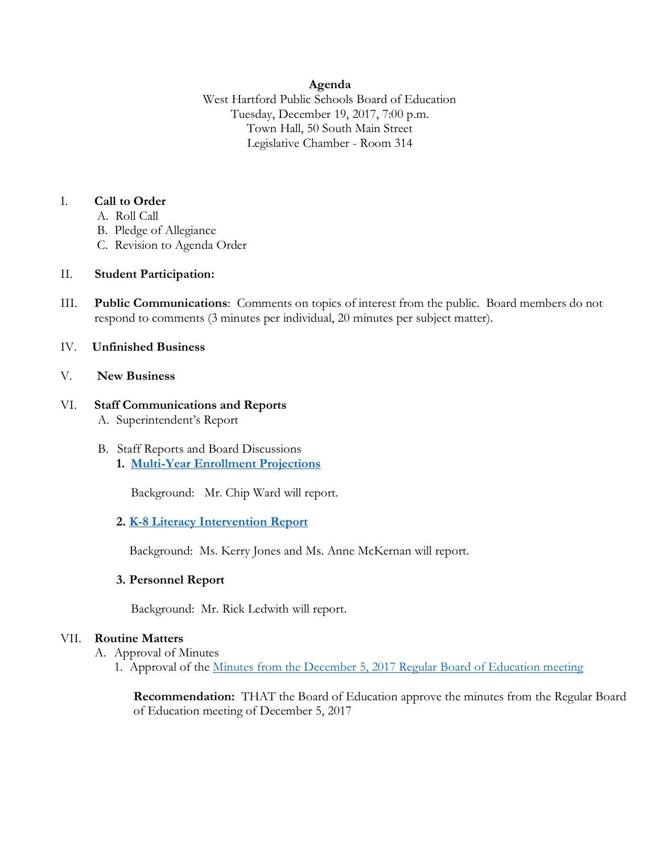## **Agenda**

West Hartford Public Schools Board of Education Tuesday, December 19, 2017, 7:00 p.m. Town Hall, 50 South Main Street Legislative Chamber - Room 314

## I. **Call to Order**

- A. Roll Call
- B. Pledge of Allegiance
- C. Revision to Agenda Order

## II. **Student Participation:**

III. **Public Communications**: Comments on topics of interest from the public. Board members do not respond to comments (3 minutes per individual, 20 minutes per subject matter).

## IV. **Unfinished Business**

## V. **New Business**

## VI. **Staff Communications and Reports** A. Superintendent's Report

- B. Staff Reports and Board Discussions
	- **1. [Multi-Year Enrollment Projections](http://www.whps.org/uploaded/BOE/BOE_Documents/20171219/Enrollment_Projections_-_Dec_19,_2017.pdf?1513285586138)**

Background: Mr. Chip Ward will report.

## **2. [K-8 Literacy Intervention Report](http://www.whps.org/uploaded/BOE/BOE_Documents/20171219/literacy_intervention_20171219_rvsd.pdf?1513285549812)**

Background: Ms. Kerry Jones and Ms. Anne McKernan will report.

#### **3. Personnel Report**

Background: Mr. Rick Ledwith will report.

## VII. **Routine Matters**

A. Approval of Minutes

1. Approval of the [Minutes from the December 5, 2017 Regular Board of Education meeting](http://www.whps.org/uploaded/BOE/BOE_Documents/20171219/Dec._5,_2017_minutes.pdf?1513285568594)

**Recommendation:** THAT the Board of Education approve the minutes from the Regular Board of Education meeting of December 5, 2017